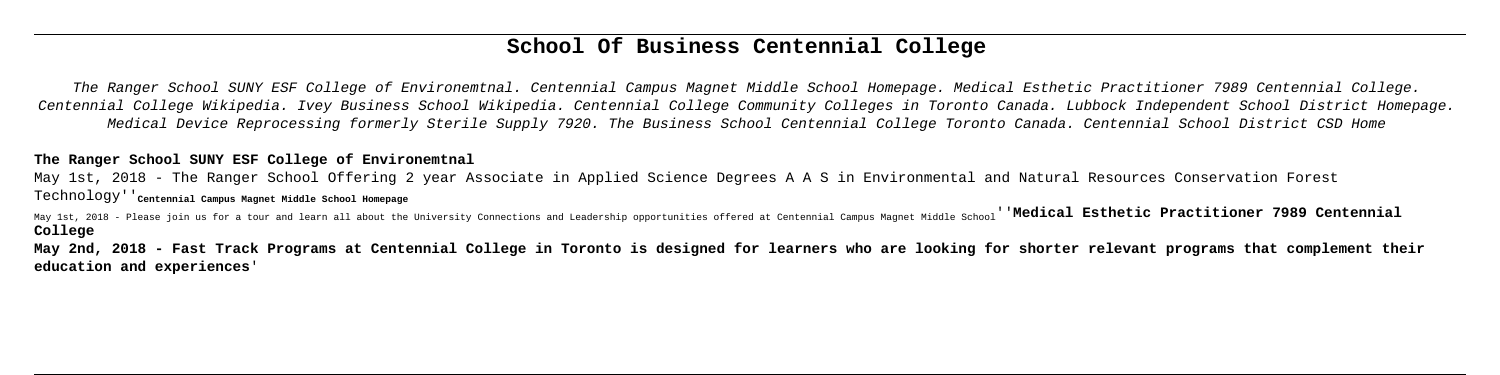# **School Of Business Centennial College**

The Ranger School SUNY ESF College of Environemtnal. Centennial Campus Magnet Middle School Homepage. Medical Esthetic Practitioner 7989 Centennial College. Centennial College Wikipedia. Ivey Business School Wikipedia. Centennial College Community Colleges in Toronto Canada. Lubbock Independent School District Homepage. Medical Device Reprocessing formerly Sterile Supply 7920. The Business School Centennial College Toronto Canada. Centennial School District CSD Home

May 1st, 2018 - Please join us for a tour and learn all about the University Connections and Leadership opportunities offered at Centennial Campus Magnet Middle School<sup>'</sup> Medical Esthetic Practitioner 7989 Centennial **College**

## **The Ranger School SUNY ESF College of Environemtnal**

May 1st, 2018 - The Ranger School Offering 2 year Associate in Applied Science Degrees A A S in Environmental and Natural Resources Conservation Forest Technology''**Centennial Campus Magnet Middle School Homepage**

**May 2nd, 2018 - Fast Track Programs at Centennial College in Toronto is designed for learners who are looking for shorter relevant programs that complement their education and experiences**'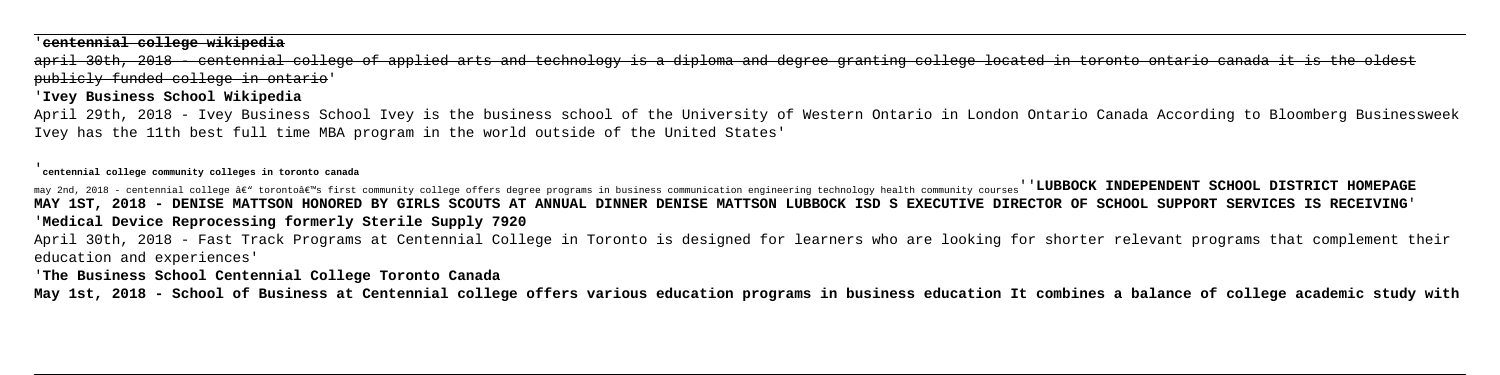### '**centennial college wikipedia**

april 30th, 2018 - centennial college of applied arts and technology is a diploma and degree granting college located in toronto ontario canada it is the oldest publicly funded college in ontario'

### '**Ivey Business School Wikipedia**

April 29th, 2018 - Ivey Business School Ivey is the business school of the University of Western Ontario in London Ontario Canada According to Bloomberg Businessweek Ivey has the 11th best full time MBA program in the world outside of the United States'

#### '**centennial college community colleges in toronto canada**

may 2nd, 2018 - centennial college â€" torontoâ€"s first community college offers degree programs in business communication engineering technology health community courses''**LUBBOCK INDEPENDENT SCHOOL DISTRICT HOMEPAGE MAY 1ST, 2018 - DENISE MATTSON HONORED BY GIRLS SCOUTS AT ANNUAL DINNER DENISE MATTSON LUBBOCK ISD S EXECUTIVE DIRECTOR OF SCHOOL SUPPORT SERVICES IS RECEIVING**' '**Medical Device Reprocessing formerly Sterile Supply 7920** April 30th, 2018 - Fast Track Programs at Centennial College in Toronto is designed for learners who are looking for shorter relevant programs that complement their education and experiences'

'**The Business School Centennial College Toronto Canada**

**May 1st, 2018 - School of Business at Centennial college offers various education programs in business education It combines a balance of college academic study with**